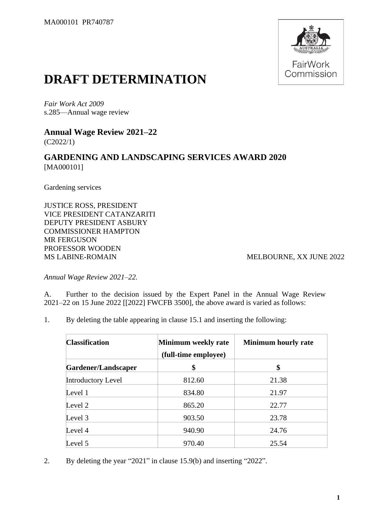

# **DRAFT DETERMINATION**

*Fair Work Act 2009* s.285—Annual wage review

**Annual Wage Review 2021–22** (C2022/1)

#### **GARDENING AND LANDSCAPING SERVICES AWARD 2020** [MA000101]

Gardening services

JUSTICE ROSS, PRESIDENT VICE PRESIDENT CATANZARITI DEPUTY PRESIDENT ASBURY COMMISSIONER HAMPTON MR FERGUSON PROFESSOR WOODEN MS LABINE-ROMAIN MELBOURNE, XX JUNE 2022

*Annual Wage Review 2021–22.*

A. Further to the decision issued by the Expert Panel in the Annual Wage Review 2021–22 on 15 June 2022 [[2022] FWCFB 3500], the above award is varied as follows:

1. By deleting the table appearing in clause 15.1 and inserting the following:

| <b>Classification</b> | Minimum weekly rate<br>(full-time employee) | <b>Minimum hourly rate</b> |  |
|-----------------------|---------------------------------------------|----------------------------|--|
| Gardener/Landscaper   | \$                                          | \$                         |  |
| Introductory Level    | 812.60                                      | 21.38                      |  |
| Level 1               | 834.80                                      | 21.97                      |  |
| Level 2               | 865.20                                      | 22.77                      |  |
| Level 3               | 903.50                                      | 23.78                      |  |
| Level 4               | 940.90                                      | 24.76                      |  |
| Level 5               | 970.40                                      | 25.54                      |  |

2. By deleting the year "2021" in clause 15.9(b) and inserting "2022".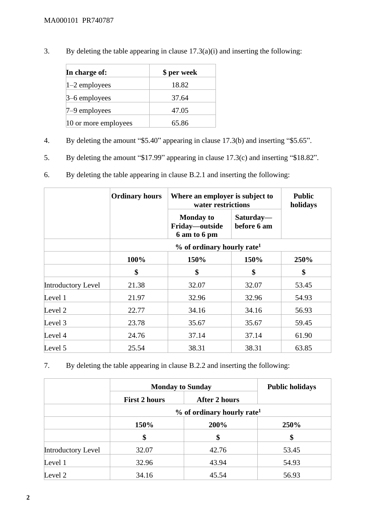3. By deleting the table appearing in clause 17.3(a)(i) and inserting the following:

| In charge of:        | \$ per week |
|----------------------|-------------|
| $1-2$ employees      | 18.82       |
| $3-6$ employees      | 37.64       |
| $7-9$ employees      | 47.05       |
| 10 or more employees | 65.86       |

- 4. By deleting the amount "\$5.40" appearing in clause 17.3(b) and inserting "\$5.65".
- 5. By deleting the amount "\$17.99" appearing in clause 17.3(c) and inserting "\$18.82".
- 6. By deleting the table appearing in clause B.2.1 and inserting the following:

|                           | <b>Ordinary hours</b>                    |                                                    | Where an employer is subject to<br>water restrictions |       |  |
|---------------------------|------------------------------------------|----------------------------------------------------|-------------------------------------------------------|-------|--|
|                           |                                          | <b>Monday to</b><br>Friday-outside<br>6 am to 6 pm | Saturday—<br>before 6 am                              |       |  |
|                           | $%$ of ordinary hourly rate <sup>1</sup> |                                                    |                                                       |       |  |
|                           | 100%                                     | 150%                                               | 150%                                                  |       |  |
|                           | \$                                       | \$                                                 | \$                                                    | \$    |  |
| <b>Introductory Level</b> | 21.38                                    | 32.07                                              | 32.07                                                 | 53.45 |  |
| Level 1                   | 21.97                                    | 32.96                                              | 32.96                                                 | 54.93 |  |
| Level 2                   | 22.77                                    | 34.16                                              | 34.16                                                 | 56.93 |  |
| Level 3                   | 23.78                                    | 35.67                                              | 35.67                                                 | 59.45 |  |
| Level 4                   | 24.76                                    | 37.14                                              | 37.14                                                 | 61.90 |  |
| Level 5                   | 25.54                                    | 38.31                                              | 38.31                                                 | 63.85 |  |

7. By deleting the table appearing in clause B.2.2 and inserting the following:

|                    | <b>Monday to Sunday</b> | <b>Public holidays</b>                   |       |
|--------------------|-------------------------|------------------------------------------|-------|
|                    | <b>First 2 hours</b>    | <b>After 2 hours</b>                     |       |
|                    |                         | $%$ of ordinary hourly rate <sup>1</sup> |       |
|                    | 150%<br>200%            |                                          | 250%  |
|                    | \$                      | \$                                       | \$    |
| Introductory Level | 32.07                   | 42.76                                    | 53.45 |
| Level 1            | 32.96                   | 43.94                                    | 54.93 |
| Level 2            | 34.16                   | 45.54                                    | 56.93 |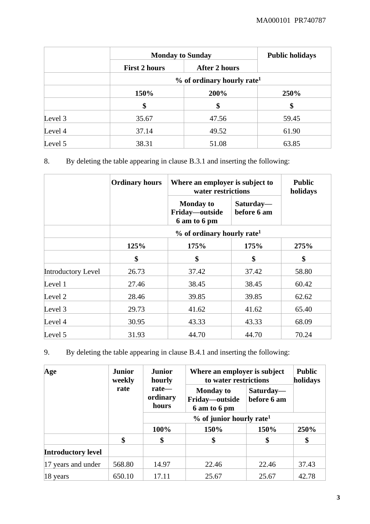|         |                      | <b>Monday to Sunday</b>                  |       |  |  |  |
|---------|----------------------|------------------------------------------|-------|--|--|--|
|         | <b>First 2 hours</b> | <b>After 2 hours</b>                     |       |  |  |  |
|         |                      | $%$ of ordinary hourly rate <sup>1</sup> |       |  |  |  |
|         | 150%                 | 200%                                     |       |  |  |  |
|         | \$                   | \$                                       | \$    |  |  |  |
| Level 3 | 35.67                | 47.56                                    | 59.45 |  |  |  |
| Level 4 | 37.14                | 49.52                                    | 61.90 |  |  |  |
| Level 5 | 38.31                | 51.08                                    | 63.85 |  |  |  |

8. By deleting the table appearing in clause B.3.1 and inserting the following:

|                           | <b>Ordinary hours</b>                    |                                                    | Where an employer is subject to<br>water restrictions |       |  |
|---------------------------|------------------------------------------|----------------------------------------------------|-------------------------------------------------------|-------|--|
|                           |                                          | <b>Monday to</b><br>Friday-outside<br>6 am to 6 pm | Saturday—<br>before 6 am                              |       |  |
|                           | $%$ of ordinary hourly rate <sup>1</sup> |                                                    |                                                       |       |  |
|                           | 125%                                     | 175%                                               | 175%                                                  | 275%  |  |
|                           | \$                                       | \$                                                 | \$                                                    | \$    |  |
| <b>Introductory Level</b> | 26.73                                    | 37.42                                              | 37.42                                                 | 58.80 |  |
| Level 1                   | 27.46                                    | 38.45                                              | 38.45                                                 | 60.42 |  |
| Level 2                   | 28.46                                    | 39.85                                              | 39.85                                                 | 62.62 |  |
| Level 3                   | 29.73                                    | 41.62                                              | 41.62                                                 | 65.40 |  |
| Level 4                   | 30.95                                    | 43.33                                              | 43.33                                                 | 68.09 |  |
| Level 5                   | 31.93                                    | 44.70                                              | 44.70                                                 | 70.24 |  |

9. By deleting the table appearing in clause B.4.1 and inserting the following:

| Age                       | <b>Junior</b><br>weekly | <b>Junior</b><br>hourly                | Where an employer is subject<br>to water restrictions |                          | <b>Public</b><br>holidays |  |
|---------------------------|-------------------------|----------------------------------------|-------------------------------------------------------|--------------------------|---------------------------|--|
|                           | rate                    | $rate$ —<br>ordinary<br>hours          | <b>Monday to</b><br>Friday—outside<br>6 am to 6 pm    | Saturday-<br>before 6 am |                           |  |
|                           |                         | $%$ of junior hourly rate <sup>1</sup> |                                                       |                          |                           |  |
|                           |                         | 100%                                   | 150%                                                  | 150%                     | 250%                      |  |
|                           | \$                      | \$                                     | \$                                                    | \$                       | \$                        |  |
| <b>Introductory level</b> |                         |                                        |                                                       |                          |                           |  |
| 17 years and under        | 568.80                  | 14.97                                  | 22.46                                                 | 22.46                    | 37.43                     |  |
| $18$ years                | 650.10                  | 17.11                                  | 25.67                                                 | 25.67                    | 42.78                     |  |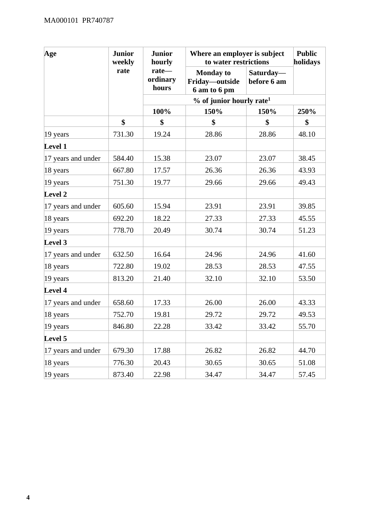| Age                  | <b>Junior</b><br><b>Junior</b><br>weekly<br>hourly |                            |                                                    | Where an employer is subject<br>to water restrictions |       |  |
|----------------------|----------------------------------------------------|----------------------------|----------------------------------------------------|-------------------------------------------------------|-------|--|
|                      | rate                                               | rate-<br>ordinary<br>hours | <b>Monday to</b><br>Friday-outside<br>6 am to 6 pm | Saturday-<br>before 6 am                              |       |  |
|                      |                                                    |                            | $%$ of junior hourly rate <sup>1</sup>             |                                                       |       |  |
|                      |                                                    | 100%                       | 150%                                               | 150%                                                  | 250%  |  |
|                      | \$                                                 | \$                         | \$                                                 | \$                                                    | \$    |  |
| $ 19 \rangle$ years  | 731.30                                             | 19.24                      | 28.86                                              | 28.86                                                 | 48.10 |  |
| <b>Level 1</b>       |                                                    |                            |                                                    |                                                       |       |  |
| 17 years and under   | 584.40                                             | 15.38                      | 23.07                                              | 23.07                                                 | 38.45 |  |
| 18 years             | 667.80                                             | 17.57                      | 26.36                                              | 26.36                                                 | 43.93 |  |
| 19 years             | 751.30                                             | 19.77                      | 29.66                                              | 29.66                                                 | 49.43 |  |
| Level 2              |                                                    |                            |                                                    |                                                       |       |  |
| 17 years and under   | 605.60                                             | 15.94                      | 23.91                                              | 23.91                                                 | 39.85 |  |
| 18 years             | 692.20                                             | 18.22                      | 27.33                                              | 27.33                                                 | 45.55 |  |
| 19 years             | 778.70                                             | 20.49                      | 30.74                                              | 30.74                                                 | 51.23 |  |
| Level 3              |                                                    |                            |                                                    |                                                       |       |  |
| 17 years and under   | 632.50                                             | 16.64                      | 24.96                                              | 24.96                                                 | 41.60 |  |
| 18 years             | 722.80                                             | 19.02                      | 28.53                                              | 28.53                                                 | 47.55 |  |
| 19 years             | 813.20                                             | 21.40                      | 32.10                                              | 32.10                                                 | 53.50 |  |
| Level 4              |                                                    |                            |                                                    |                                                       |       |  |
| 17 years and under   | 658.60                                             | 17.33                      | 26.00                                              | 26.00                                                 | 43.33 |  |
| 18 years             | 752.70                                             | 19.81                      | 29.72                                              | 29.72                                                 | 49.53 |  |
| 19 years             | 846.80                                             | 22.28                      | 33.42                                              | 33.42                                                 | 55.70 |  |
| Level 5              |                                                    |                            |                                                    |                                                       |       |  |
| 17 years and under   | 679.30                                             | 17.88                      | 26.82                                              | 26.82                                                 | 44.70 |  |
| $ 18 \text{ years} $ | 776.30                                             | 20.43                      | 30.65                                              | 30.65                                                 | 51.08 |  |
| 19 years             | 873.40                                             | 22.98                      | 34.47                                              | 34.47                                                 | 57.45 |  |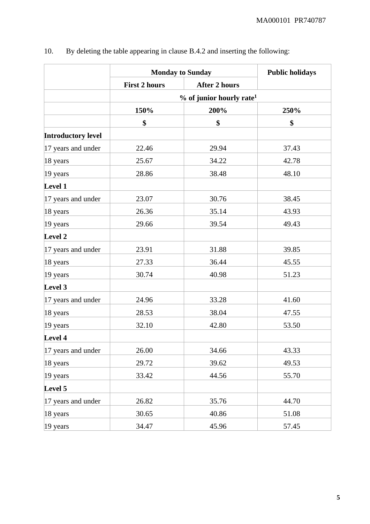|                           | <b>Monday to Sunday</b> |                                        | <b>Public holidays</b> |  |
|---------------------------|-------------------------|----------------------------------------|------------------------|--|
|                           | <b>First 2 hours</b>    | <b>After 2 hours</b>                   |                        |  |
|                           |                         | $%$ of junior hourly rate <sup>1</sup> |                        |  |
|                           | 150%                    | 200%                                   | 250%                   |  |
|                           | \$                      | \$                                     | \$                     |  |
| <b>Introductory level</b> |                         |                                        |                        |  |
| 17 years and under        | 22.46                   | 29.94                                  | 37.43                  |  |
| 18 years                  | 25.67                   | 34.22                                  | 42.78                  |  |
| 19 years                  | 28.86                   | 38.48                                  | 48.10                  |  |
| Level 1                   |                         |                                        |                        |  |
| 17 years and under        | 23.07                   | 30.76                                  | 38.45                  |  |
| 18 years                  | 26.36                   | 35.14                                  | 43.93                  |  |
| 19 years                  | 29.66                   | 39.54                                  | 49.43                  |  |
| Level 2                   |                         |                                        |                        |  |
| 17 years and under        | 23.91                   | 31.88                                  | 39.85                  |  |
| 18 years                  | 27.33                   | 36.44                                  | 45.55                  |  |
| 19 years                  | 30.74                   | 40.98                                  | 51.23                  |  |
| Level 3                   |                         |                                        |                        |  |
| 17 years and under        | 24.96                   | 33.28                                  | 41.60                  |  |
| 18 years                  | 28.53                   | 38.04                                  | 47.55                  |  |
| 19 years                  | 32.10                   | 42.80                                  | 53.50                  |  |
| Level 4                   |                         |                                        |                        |  |
| 17 years and under        | 26.00                   | 34.66                                  | 43.33                  |  |
| 18 years                  | 29.72                   | 39.62                                  | 49.53                  |  |
| 19 years                  | 33.42                   | 44.56                                  | 55.70                  |  |
| Level 5                   |                         |                                        |                        |  |
| 17 years and under        | 26.82                   | 35.76                                  | 44.70                  |  |
| 18 years                  | 30.65                   | 40.86                                  | 51.08                  |  |
| 19 years                  | 34.47                   | 45.96                                  | 57.45                  |  |

## 10. By deleting the table appearing in clause B.4.2 and inserting the following: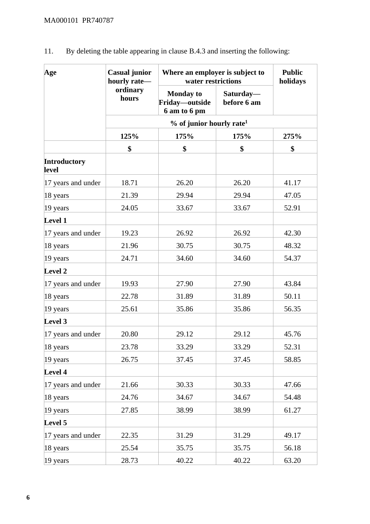| Age                          | Where an employer is subject to<br>Casual junior<br>hourly rate-<br>water restrictions |                                                    | <b>Public</b><br>holidays |       |
|------------------------------|----------------------------------------------------------------------------------------|----------------------------------------------------|---------------------------|-------|
|                              | ordinary<br>hours                                                                      | <b>Monday to</b><br>Friday-outside<br>6 am to 6 pm | Saturday-<br>before 6 am  |       |
|                              |                                                                                        |                                                    |                           |       |
|                              | 125%                                                                                   | 175%                                               | 175%                      | 275%  |
|                              | \$                                                                                     | \$                                                 | \$                        | \$    |
| <b>Introductory</b><br>level |                                                                                        |                                                    |                           |       |
| 17 years and under           | 18.71                                                                                  | 26.20                                              | 26.20                     | 41.17 |
| 18 years                     | 21.39                                                                                  | 29.94                                              | 29.94                     | 47.05 |
| 19 years                     | 24.05                                                                                  | 33.67                                              | 33.67                     | 52.91 |
| <b>Level 1</b>               |                                                                                        |                                                    |                           |       |
| 17 years and under           | 19.23                                                                                  | 26.92                                              | 26.92                     | 42.30 |
| 18 years                     | 21.96                                                                                  | 30.75                                              | 30.75                     | 48.32 |
| 19 years                     | 24.71                                                                                  | 34.60                                              | 34.60                     | 54.37 |
| <b>Level 2</b>               |                                                                                        |                                                    |                           |       |
| 17 years and under           | 19.93                                                                                  | 27.90                                              | 27.90                     | 43.84 |
| 18 years                     | 22.78                                                                                  | 31.89                                              | 31.89                     | 50.11 |
| 19 years                     | 25.61                                                                                  | 35.86                                              | 35.86                     | 56.35 |
| Level 3                      |                                                                                        |                                                    |                           |       |
| 17 years and under           | 20.80                                                                                  | 29.12                                              | 29.12                     | 45.76 |
| 18 years                     | 23.78                                                                                  | 33.29                                              | 33.29                     | 52.31 |
| 19 years                     | 26.75                                                                                  | 37.45                                              | 37.45                     | 58.85 |
| <b>Level 4</b>               |                                                                                        |                                                    |                           |       |
| 17 years and under           | 21.66                                                                                  | 30.33                                              | 30.33                     | 47.66 |
| 18 years                     | 24.76                                                                                  | 34.67                                              | 34.67                     | 54.48 |
| 19 years                     | 27.85                                                                                  | 38.99                                              | 38.99                     | 61.27 |
| <b>Level 5</b>               |                                                                                        |                                                    |                           |       |
| 17 years and under           | 22.35                                                                                  | 31.29                                              | 31.29                     | 49.17 |
| 18 years                     | 25.54                                                                                  | 35.75                                              | 35.75                     | 56.18 |
| 19 years                     | 28.73                                                                                  | 40.22                                              | 40.22                     | 63.20 |

11. By deleting the table appearing in clause B.4.3 and inserting the following: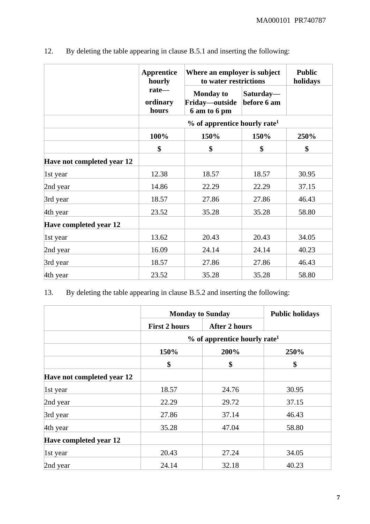|                               | <b>Apprentice</b><br>hourly | Where an employer is subject<br>to water restrictions |                          | <b>Public</b><br>holidays |
|-------------------------------|-----------------------------|-------------------------------------------------------|--------------------------|---------------------------|
|                               | rate-<br>ordinary<br>hours  | <b>Monday to</b><br>Friday—outside<br>6 am to 6 pm    | Saturday-<br>before 6 am |                           |
|                               |                             | $%$ of apprentice hourly rate <sup>1</sup>            |                          |                           |
|                               | 100%                        | 150%                                                  | 150%                     | 250%                      |
|                               | \$                          | \$                                                    | \$                       | \$                        |
| Have not completed year 12    |                             |                                                       |                          |                           |
| $\vert$ 1st year              | 12.38                       | 18.57                                                 | 18.57                    | 30.95                     |
| 2nd year                      | 14.86                       | 22.29                                                 | 22.29                    | 37.15                     |
| 3rd year                      | 18.57                       | 27.86                                                 | 27.86                    | 46.43                     |
| 4th year                      | 23.52                       | 35.28                                                 | 35.28                    | 58.80                     |
| <b>Have completed year 12</b> |                             |                                                       |                          |                           |
| 1st year                      | 13.62                       | 20.43                                                 | 20.43                    | 34.05                     |
| 2nd year                      | 16.09                       | 24.14                                                 | 24.14                    | 40.23                     |
| 3rd year                      | 18.57                       | 27.86                                                 | 27.86                    | 46.43                     |
| 4th year                      | 23.52                       | 35.28                                                 | 35.28                    | 58.80                     |

12. By deleting the table appearing in clause B.5.1 and inserting the following:

13. By deleting the table appearing in clause B.5.2 and inserting the following:

|                            | <b>Monday to Sunday</b>                    | <b>Public holidays</b> |       |  |  |
|----------------------------|--------------------------------------------|------------------------|-------|--|--|
|                            | <b>First 2 hours</b>                       | <b>After 2 hours</b>   |       |  |  |
|                            | $%$ of apprentice hourly rate <sup>1</sup> |                        |       |  |  |
|                            | 150%                                       | 200%                   | 250%  |  |  |
|                            | \$                                         | \$                     | \$    |  |  |
| Have not completed year 12 |                                            |                        |       |  |  |
| 1st year                   | 18.57                                      | 24.76                  | 30.95 |  |  |
| 2nd year                   | 22.29                                      | 29.72                  | 37.15 |  |  |
| 3rd year                   | 27.86                                      | 37.14                  | 46.43 |  |  |
| 4th year                   | 35.28                                      | 47.04                  | 58.80 |  |  |
| Have completed year 12     |                                            |                        |       |  |  |
| $\vert$ 1st year           | 20.43                                      | 27.24                  | 34.05 |  |  |
| 2nd year                   | 24.14                                      | 32.18                  | 40.23 |  |  |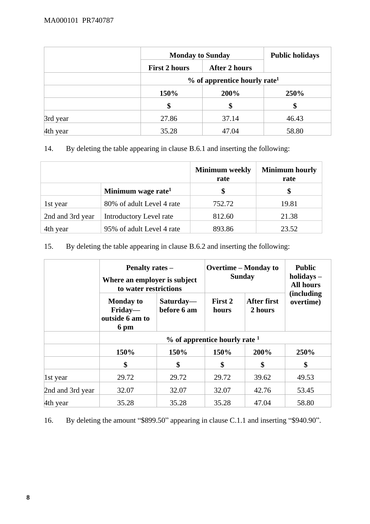|          |                      | <b>Monday to Sunday</b>                    |       |  |  |
|----------|----------------------|--------------------------------------------|-------|--|--|
|          | <b>First 2 hours</b> | <b>After 2 hours</b>                       |       |  |  |
|          |                      | $%$ of apprentice hourly rate <sup>1</sup> |       |  |  |
|          | 150%                 | 200%                                       | 250%  |  |  |
|          | \$                   | \$                                         | \$    |  |  |
| 3rd year | 27.86                | 37.14                                      | 46.43 |  |  |
| 4th year | 35.28                | 47.04                                      | 58.80 |  |  |

### 14. By deleting the table appearing in clause B.6.1 and inserting the following:

|                  |                                | <b>Minimum</b> weekly<br>rate | <b>Minimum hourly</b><br>rate |
|------------------|--------------------------------|-------------------------------|-------------------------------|
|                  | Minimum wage rate <sup>1</sup> | \$                            | \$                            |
| 1st year         | 80% of adult Level 4 rate      | 752.72                        | 19.81                         |
| 2nd and 3rd year | Introductory Level rate        | 812.60                        | 21.38                         |
| 4th year         | 95% of adult Level 4 rate      | 893.86                        | 23.52                         |

#### 15. By deleting the table appearing in clause B.6.2 and inserting the following:

|                  | <b>Penalty rates –</b><br>Where an employer is subject<br>to water restrictions |                          | <b>Overtime – Monday to</b><br><b>Sunday</b> |                               | <b>Public</b><br>holidays -<br><b>All hours</b> |  |
|------------------|---------------------------------------------------------------------------------|--------------------------|----------------------------------------------|-------------------------------|-------------------------------------------------|--|
|                  | <b>Monday to</b><br>Friday—<br>outside 6 am to<br>6 pm                          | Saturday-<br>before 6 am | First 2<br>hours                             | <b>After first</b><br>2 hours | (including<br>overtime)                         |  |
|                  | $\%$ of apprentice hourly rate $^1$                                             |                          |                                              |                               |                                                 |  |
|                  | 150%                                                                            | 150%                     | 150%                                         | 200%                          | 250%                                            |  |
|                  | \$                                                                              | \$                       | \$                                           | \$                            | \$                                              |  |
| $\vert$ 1st year | 29.72                                                                           | 29.72                    | 29.72                                        | 39.62                         | 49.53                                           |  |
| 2nd and 3rd year | 32.07                                                                           | 32.07                    | 32.07                                        | 42.76                         | 53.45                                           |  |
| 4th year         | 35.28                                                                           | 35.28                    | 35.28                                        | 47.04                         | 58.80                                           |  |

16. By deleting the amount "\$899.50" appearing in clause C.1.1 and inserting "\$940.90".